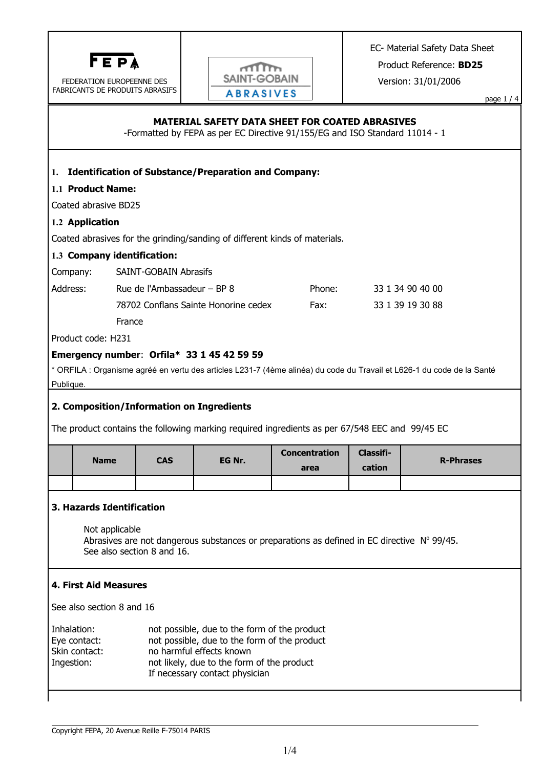

FEDERATION EUROPEENNE DES FABRICANTS DE PRODUITS ABRASIFS



EC- Material Safety Data Sheet

Product Reference: **BD25**

Version: 31/01/2006

page 1 / 4

## **MATERIAL SAFETY DATA SHEET FOR COATED ABRASIVES**

-Formatted by FEPA as per EC Directive 91/155/EG and ISO Standard 11014 - 1

## **1. Identification of Substance/Preparation and Company:**

### **1.1 Product Name:**

Coated abrasive BD25

#### **1.2 Application**

Coated abrasives for the grinding/sanding of different kinds of materials.

### **1.3 Company identification:**

Company: SAINT-GOBAIN Abrasifs

| Address: | Rue de l'Ambassadeur – BP 8          | Phone: | 33 1 34 90 40 00 |
|----------|--------------------------------------|--------|------------------|
|          | 78702 Conflans Sainte Honorine cedex | Fax:   | 33 1 39 19 30 88 |
|          | France                               |        |                  |

Product code: H231

## **Emergency number**: **Orfila\* 33 1 45 42 59 59**

\* ORFILA : Organisme agréé en vertu des articles L231-7 (4ème alinéa) du code du Travail et L626-1 du code de la Santé Publique.

# **2. Composition/Information on Ingredients**

The product contains the following marking required ingredients as per 67/548 EEC and 99/45 EC

| <b>Name</b> | <b>CAS</b> | EG Nr. | <b>Concentration</b><br>area | Classifi-<br>cation | <b>R-Phrases</b> |
|-------------|------------|--------|------------------------------|---------------------|------------------|
|             |            |        |                              |                     |                  |

## **3. Hazards Identification**

Not applicable Abrasives are not dangerous substances or preparations as defined in EC directive  $N^{\circ}$  99/45. See also section 8 and 16.

## **4. First Aid Measures**

See also section 8 and 16

| Inhalation:   | not possible, due to the form of the product                                 |
|---------------|------------------------------------------------------------------------------|
| Eye contact:  | not possible, due to the form of the product                                 |
| Skin contact: | no harmful effects known                                                     |
| Ingestion:    | not likely, due to the form of the product<br>If necessary contact physician |
|               |                                                                              |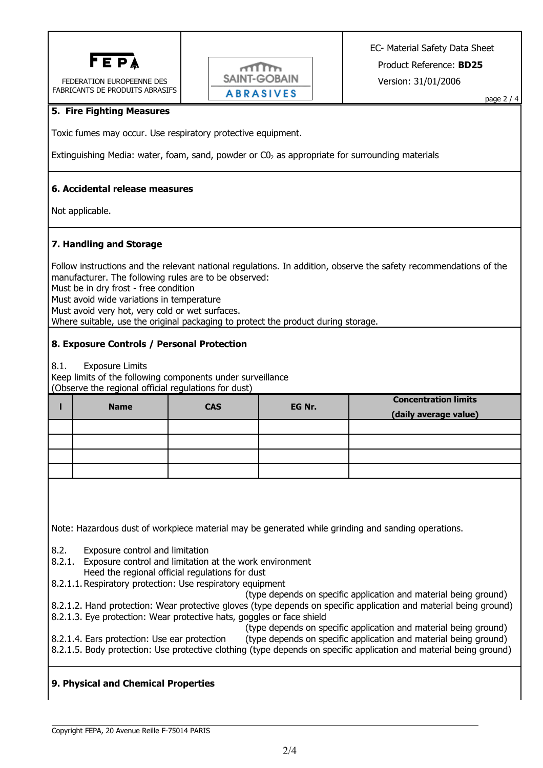

FEDERATION EUROPEENNE DES FABRICANTS DE PRODUITS ABRASIFS



page 2 / 4

## **5. Fire Fighting Measures**

Toxic fumes may occur. Use respiratory protective equipment.

Extinguishing Media: water, foam, sand, powder or  $CO<sub>2</sub>$  as appropriate for surrounding materials

## **6. Accidental release measures**

Not applicable.

## **7. Handling and Storage**

Follow instructions and the relevant national regulations. In addition, observe the safety recommendations of the manufacturer. The following rules are to be observed: Must be in dry frost - free condition Must avoid wide variations in temperature Must avoid very hot, very cold or wet surfaces. Where suitable, use the original packaging to protect the product during storage.

## **8. Exposure Controls / Personal Protection**

8.1. Exposure Limits

Keep limits of the following components under surveillance (Observe the regional official regulations for dust)

| <b>Name</b> | <b>CAS</b> | EG Nr. | <b>Concentration limits</b><br>(daily average value) |
|-------------|------------|--------|------------------------------------------------------|
|             |            |        |                                                      |
|             |            |        |                                                      |
|             |            |        |                                                      |
|             |            |        |                                                      |

Note: Hazardous dust of workpiece material may be generated while grinding and sanding operations.

8.2. Exposure control and limitation

- 8.2.1. Exposure control and limitation at the work environment Heed the regional official regulations for dust
- 8.2.1.1. Respiratory protection: Use respiratory equipment

(type depends on specific application and material being ground)

- 8.2.1.2. Hand protection: Wear protective gloves (type depends on specific application and material being ground)
- 8.2.1.3. Eye protection: Wear protective hats, goggles or face shield
- (type depends on specific application and material being ground) 8.2.1.4. Ears protection: Use ear protection (type depends on specific application and material being ground) 8.2.1.5. Body protection: Use protective clothing (type depends on specific application and material being ground)

# **9. Physical and Chemical Properties**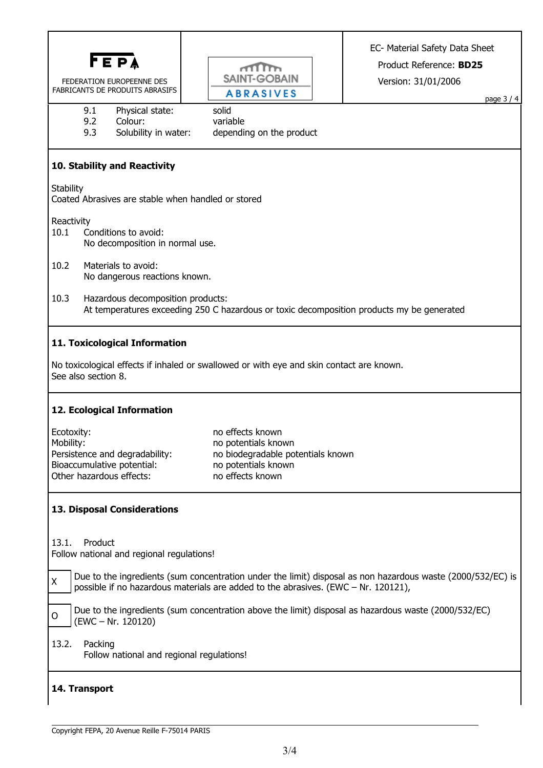